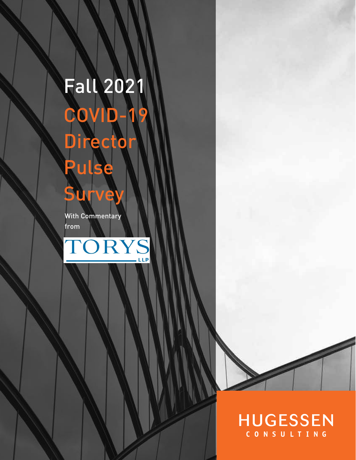# Fall 2021 COVID-19 **Director** Pulse **Survey** With Commentary from





## **HUGESSEN** CONSULTING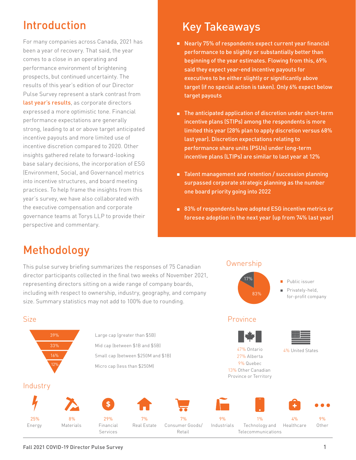# Introduction

For many companies across Canada, 2021 has been a year of recovery. That said, the year comes to a close in an operating and performance environment of brightening prospects, but continued uncertainty. The results of this year's edition of our Director Pulse Survey represent a stark contrast from [last year's results](https://www.hugessen.com/sites/default/files/news/Fall%202020%20COVID-19%20Director%20Pulse%20Survey%20FINAL.pdf), as corporate directors expressed a more optimistic tone. Financial performance expectations are generally strong, leading to at or above target anticipated incentive payouts and more limited use of incentive discretion compared to 2020. Other insights gathered relate to forward-looking base salary decisions, the incorporation of ESG (Environment, Social, and Governance) metrics into incentive structures, and board meeting practices. To help frame the insights from this year's survey, we have also collaborated with the executive compensation and corporate governance teams at Torys LLP to provide their perspective and commentary.

# Key Takeaways

- Nearly 75% of respondents expect current year financial performance to be slightly or substantially better than beginning of the year estimates. Flowing from this, 69% said they expect year-end incentive payouts for executives to be either slightly or significantly above target (if no special action is taken). Only 6% expect below target payouts
- The anticipated application of discretion under short-term incentive plans (STIPs) among the respondents is more limited this year (28% plan to apply discretion versus 68% last year). Discretion expectations relating to performance share units (PSUs) under long-term incentive plans (LTIPs) are similar to last year at 12%
- Talent management and retention / succession planning surpassed corporate strategic planning as the number one board priority going into 2022
- 83% of respondents have adopted ESG incentive metrics or foresee adoption in the next year (up from 74% last year)

### Methodology

39%

16% 12%

**Industry** 

Size

25% Energy

This pulse survey briefing summarizes the responses of 75 Canadian director participants collected in the final two weeks of November 2021, representing directors sitting on a wide range of company boards, including with respect to ownership, industry, geography, and company size. Summary statistics may not add to 100% due to rounding.



#### Fall 2021 COVID-19 Director Pulse Survey 1

8% Materials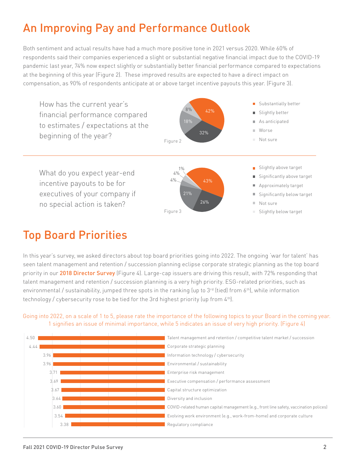# An Improving Pay and Performance Outlook

Both sentiment and actual results have had a much more positive tone in 2021 versus 2020. While 60% of respondents said their companies experienced a slight or substantial negative financial impact due to the COVID-19 pandemic last year, 74% now expect slightly or substantially better financial performance compared to expectations at the beginning of this year (Figure 2). These improved results are expected to have a direct impact on compensation, as 90% of respondents anticipate at or above target incentive payouts this year. (Figure 3).



## Top Board Priorities

In this year's survey, we asked directors about top board priorities going into 2022. The ongoing 'war for talent' has seen talent management and retention / succession planning eclipse corporate strategic planning as the top board priority in our [2018 Director Survey](https://www.hugessen.com/en/news/2018-director-opinion-survey-reflections-resolutions) (Figure 4). Large-cap issuers are driving this result, with 72% responding that talent management and retention / succession planning is a very high priority. ESG-related priorities, such as environmental / sustainability, jumped three spots in the ranking (up to 3rd (tied) from 6<sup>th</sup>), while information technology / cybersecurity rose to be tied for the 3rd highest priority (up from 4<sup>th</sup>).

Going into 2022, on a scale of 1 to 5, please rate the importance of the following topics to your Board in the coming year. 1 signifies an issue of minimal importance, while 5 indicates an issue of very high priority. (Figure 4)

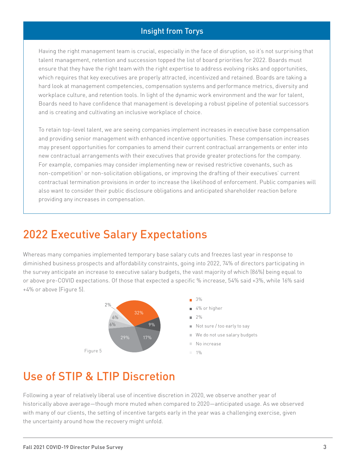#### Insight from Torys

Having the right management team is crucial, especially in the face of disruption, so it's not surprising that talent management, retention and succession topped the list of board priorities for 2022. Boards must ensure that they have the right team with the right expertise to address evolving risks and opportunities, which requires that key executives are properly attracted, incentivized and retained. Boards are taking a hard look at management competencies, compensation systems and performance metrics, diversity and workplace culture, and retention tools. In light of the dynamic work environment and the war for talent, Boards need to have confidence that management is developing a robust pipeline of potential successors and is creating and cultivating an inclusive workplace of choice.

To retain top-level talent, we are seeing companies implement increases in executive base compensation and providing senior management with enhanced incentive opportunities. These compensation increases may present opportunities for companies to amend their current contractual arrangements or enter into new contractual arrangements with their executives that provide greater protections for the company. For example, companies may consider implementing new or revised restrictive covenants, such as non-competition<sup>1</sup> or non-solicitation obligations, or improving the drafting of their executives' current contractual termination provisions in order to increase the likelihood of enforcement. Public companies will also want to consider their public disclosure obligations and anticipated shareholder reaction before providing any increases in compensation.

### 2022 Executive Salary Expectations

Whereas many companies implemented temporary base salary cuts and freezes last year in response to diminished business prospects and affordability constraints, going into 2022, 74% of directors participating in the survey anticipate an increase to executive salary budgets, the vast majority of which (86%) being equal to or above pre-COVID expectations. Of those that expected a specific % increase, 54% said +3%, while 16% said +4% or above (Figure 5).



### Use of STIP & LTIP Discretion

Following a year of relatively liberal use of incentive discretion in 2020, we observe another year of historically above average—though more muted when compared to 2020—anticipated usage. As we observed with many of our clients, the setting of incentive targets early in the year was a challenging exercise, given the uncertainty around how the recovery might unfold.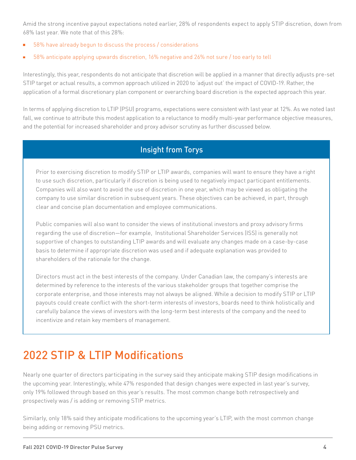Amid the strong incentive payout expectations noted earlier, 28% of respondents expect to apply STIP discretion, down from 68% last year. We note that of this 28%:

- 58% have already begun to discuss the process / considerations
- 58% anticipate applying upwards discretion, 16% negative and 26% not sure / too early to tell

Interestingly, this year, respondents do not anticipate that discretion will be applied in a manner that directly adjusts pre-set STIP target or actual results, a common approach utilized in 2020 to 'adjust out' the impact of COVID-19. Rather, the application of a formal discretionary plan component or overarching board discretion is the expected approach this year.

In terms of applying discretion to LTIP (PSU) programs, expectations were consistent with last year at 12%. As we noted last fall, we continue to attribute this modest application to a reluctance to modify multi-year performance objective measures, and the potential for increased shareholder and proxy advisor scrutiny as further discussed below.

#### Insight from Torys

Prior to exercising discretion to modify STIP or LTIP awards, companies will want to ensure they have a right to use such discretion, particularly if discretion is being used to negatively impact participant entitlements. Companies will also want to avoid the use of discretion in one year, which may be viewed as obligating the company to use similar discretion in subsequent years. These objectives can be achieved, in part, through clear and concise plan documentation and employee communications.

Public companies will also want to consider the views of institutional investors and proxy advisory firms regarding the use of discretion—for example, Institutional Shareholder Services (ISS) is generally not supportive of changes to outstanding LTIP awards and will evaluate any changes made on a case-by-case basis to determine if appropriate discretion was used and if adequate explanation was provided to shareholders of the rationale for the change.

Directors must act in the best interests of the company. Under Canadian law, the company's interests are determined by reference to the interests of the various stakeholder groups that together comprise the corporate enterprise, and those interests may not always be aligned. While a decision to modify STIP or LTIP payouts could create conflict with the short-term interests of investors, boards need to think holistically and carefully balance the views of investors with the long-term best interests of the company and the need to incentivize and retain key members of management.

# 2022 STIP & LTIP Modifications

Nearly one quarter of directors participating in the survey said they anticipate making STIP design modifications in the upcoming year. Interestingly, while 47% responded that design changes were expected in last year's survey, only 19% followed through based on this year's results. The most common change both retrospectively and prospectively was / is adding or removing STIP metrics.

Similarly, only 18% said they anticipate modifications to the upcoming year's LTIP, with the most common change being adding or removing PSU metrics.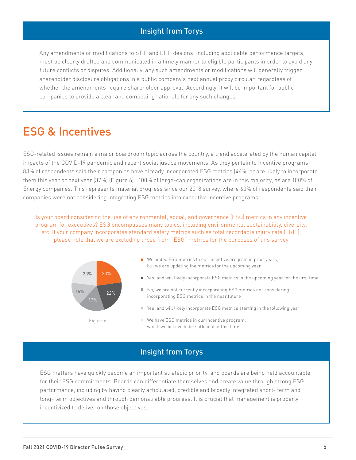#### Insight from Torys

Any amendments or modifications to STIP and LTIP designs, including applicable performance targets, must be clearly drafted and communicated in a timely manner to eligible participants in order to avoid any future conflicts or disputes. Additionally, any such amendments or modifications will generally trigger shareholder disclosure obligations in a public company's next annual proxy circular, regardless of whether the amendments require shareholder approval. Accordingly, it will be important for public companies to provide a clear and compelling rationale for any such changes.

### ESG & Incentives

ESG-related issues remain a major boardroom topic across the country, a trend accelerated by the human capital impacts of the COVID-19 pandemic and recent social justice movements. As they pertain to incentive programs, 83% of respondents said their companies have already incorporated ESG metrics (46%) or are likely to incorporate them this year or next year (37%) (Figure 6). 100% of large-cap organizations are in this majority, as are 100% of Energy companies. This represents material progress since our 2018 survey, where 60% of respondents said their companies were not considering integrating ESG metrics into executive incentive programs.

Is your board considering the use of environmental, social, and governance (ESG) metrics in any incentive program for executives? ESG encompasses many topics, including environmental sustainability, diversity, etc. If your company incorporates standard safety metrics such as total recordable injury rate (TRIF), please note that we are excluding those from "ESG" metrics for the purposes of this survey



#### Insight from Torys

ESG matters have quickly become an important strategic priority, and boards are being held accountable for their ESG commitments. Boards can differentiate themselves and create value through strong ESG performance, including by having clearly articulated, credible and broadly integrated short- term and long- term objectives and through demonstrable progress. It is crucial that management is properly incentivized to deliver on those objectives.